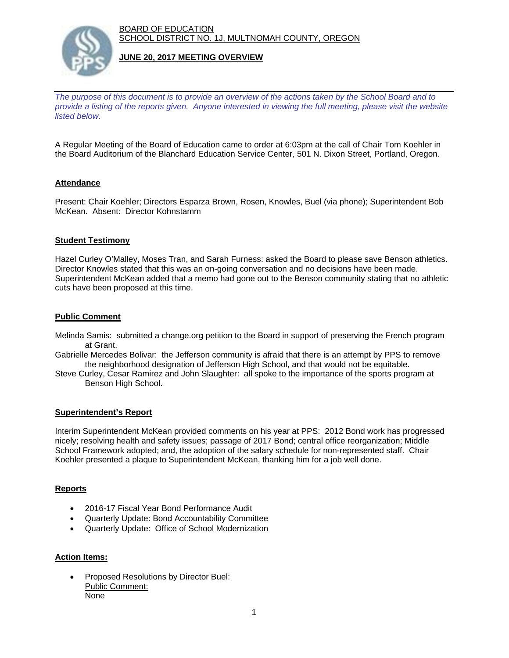BOARD OF EDUCATION SCHOOL DISTRICT NO. 1J, MULTNOMAH COUNTY, OREGON



### **JUNE 20, 2017 MEETING OVERVIEW**

*The purpose of this document is to provide an overview of the actions taken by the School Board and to provide a listing of the reports given. Anyone interested in viewing the full meeting, please visit the website listed below.*

A Regular Meeting of the Board of Education came to order at 6:03pm at the call of Chair Tom Koehler in the Board Auditorium of the Blanchard Education Service Center, 501 N. Dixon Street, Portland, Oregon.

# **Attendance**

Present: Chair Koehler; Directors Esparza Brown, Rosen, Knowles, Buel (via phone); Superintendent Bob McKean. Absent: Director Kohnstamm

#### **Student Testimony**

Hazel Curley O'Malley, Moses Tran, and Sarah Furness: asked the Board to please save Benson athletics. Director Knowles stated that this was an on-going conversation and no decisions have been made. Superintendent McKean added that a memo had gone out to the Benson community stating that no athletic cuts have been proposed at this time.

### **Public Comment**

- Melinda Samis: submitted a change.org petition to the Board in support of preserving the French program at Grant.
- Gabrielle Mercedes Bolivar: the Jefferson community is afraid that there is an attempt by PPS to remove the neighborhood designation of Jefferson High School, and that would not be equitable.
- Steve Curley, Cesar Ramirez and John Slaughter: all spoke to the importance of the sports program at Benson High School.

#### **Superintendent's Report**

Interim Superintendent McKean provided comments on his year at PPS: 2012 Bond work has progressed nicely; resolving health and safety issues; passage of 2017 Bond; central office reorganization; Middle School Framework adopted; and, the adoption of the salary schedule for non-represented staff. Chair Koehler presented a plaque to Superintendent McKean, thanking him for a job well done.

# **Reports**

- 2016-17 Fiscal Year Bond Performance Audit
- Quarterly Update: Bond Accountability Committee
- Quarterly Update: Office of School Modernization

#### **Action Items:**

 Proposed Resolutions by Director Buel: Public Comment: None